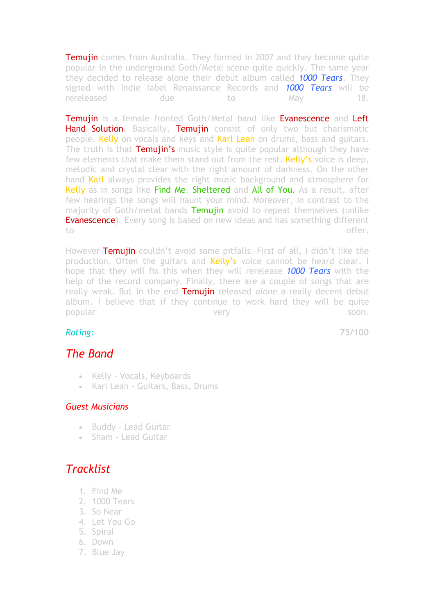**Temujin** comes from Australia. They formed in 2007 and they become quite popular in the underground Goth/Metal scene quite quickly. The same year they decided to release alone their debut album called *1000 Tears*. They signed with Indie label Renaissance Records and *1000 Tears* will be rereleased due to May 18.

**Temujin** is a female fronted Goth/Metal band like **Evanescence** and Left Hand Solution. Basically, Temujin consist of only two but charismatic people. Kelly on vocals and keys and Karl Lean on drums, bass and guitars. The truth is that **Temujin's** music style is quite popular although they have few elements that make them stand out from the rest. Kelly's voice is deep, melodic and crystal clear with the right amount of darkness. On the other hand Karl always provides the right music background and atmosphere for Kelly as in songs like Find Me, Sheltered and All of You. As a result, after few hearings the songs will haunt your mind. Moreover, in contrast to the majority of Goth/metal bands Temujin avoid to repeat themselves (unlike **Evanescence**). Every song is based on new ideas and has something different to the contract of the contract of the contract of the contract of the contract of the contract of the contract of the contract of the contract of the contract of the contract of the contract of the contract of the contrac

However Temujin couldn't avoid some pitfalls. First of all, I didn't like the production. Often the guitars and **Kelly's** voice cannot be heard clear. I hope that they will fix this when they will rerelease *1000 Tears* with the help of the record company. Finally, there are a couple of songs that are really weak. But in the end Temujin released *alone* a really decent debut album. I believe that if they continue to work hard they will be quite popular soon. Soon.

*Rating:* **75/100**

## *The Band*

- Kelly Vocals, Keyboards
- Karl Lean Guitars, Bass, Drums

## *Guest Musicians*

- Buddy Lead Guitar
- Sham Lead Guitar

## *Tracklist*

- 1. Find Me
- 2. 1000 Tears
- 3. So Near
- 4. Let You Go
- 5. Spiral
- 6. Down
- 7. Blue Jay